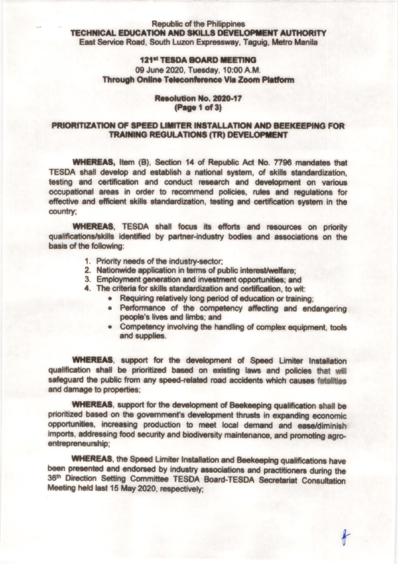#### **Republic of the Philippines** TECHNICAL EDUCATION AND SKILLS DEVELOPMENT AUTHORITY East Service Road, South Luzon Expressway, Taguig, Metro Manila

# 121st TESDA BOARD MEETING 09 June 2020, Tuesday, 10:00 A.M. Through Online Teleconference Via Zoom Platform

#### Resolution No. 2020-17 (Page 1 of 3)

# PRIORITIZATION OF SPEED LIMITER INSTALLATION AND BEEKEEPING FOR **TRAINING REGULATIONS (TR) DEVELOPMENT**

**WHEREAS, Item (B), Section 14 of Republic Act No. 7796 mandates that** TESDA shall develop and establish a national system, of skills standardization, testing and certification and conduct research and development on various occupational areas in order to recommend policies, rules and regulations for effective and efficient skills standardization, testing and certification system in the country:

**WHEREAS.** TESDA shall focus its efforts and resources on priority qualifications/skills identified by partner-industry bodies and associations on the basis of the following:

- 1. Priority needs of the industry-sector:
- 2. Nationwide application in terms of public interest/welfare:
- 3. Employment generation and investment opportunities; and
- 4. The criteria for skills standardization and certification, to wit:
	- . Requiring relatively long period of education or training:
	- . Performance of the competency affecting and endangering people's lives and limbs; and
	- Competency involving the handling of complex equipment, tools  $\bullet$ and supplies.

**WHEREAS, support for the development of Speed Limiter Installation** qualification shall be prioritized based on existing laws and policies that will safeguard the public from any speed-related road accidents which causes fatalities and damage to properties;

**WHEREAS**, support for the development of Beekeeping qualification shall be prioritized based on the government's development thrusts in expanding economic opportunities, increasing production to meet local demand and ease/diminish imports, addressing food security and biodiversity maintenance, and promoting agroentrepreneurship:

**WHEREAS**, the Speed Limiter Installation and Beekeeping qualifications have been presented and endorsed by industry associations and practitioners during the 36th Direction Setting Committee TESDA Board-TESDA Secretariat Consultation Meeting held last 15 May 2020, respectively: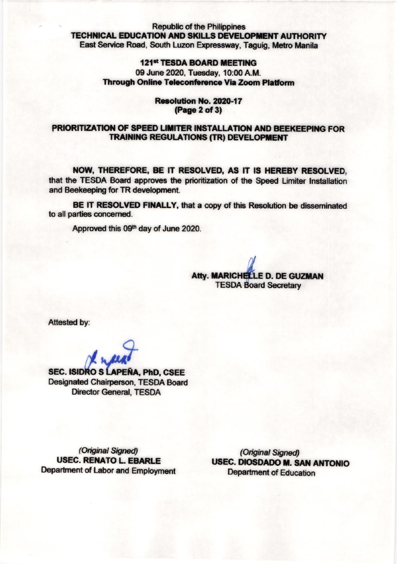#### **Republic of the Philippines TECHNICAL EDUCATION AND SKILLS DEVELOPMENT AUTHORITY** East Service Road, South Luzon Expressway, Taquiq, Metro Manila

# **121st TESDA BOARD MEETING** 09 June 2020, Tuesday, 10:00 A.M. **Through Online Teleconference Via Zoom Platform**

### Resolution No. 2020-17 (Page 2 of 3)

### PRIORITIZATION OF SPEED LIMITER INSTALLATION AND BEEKEEPING FOR **TRAINING REGULATIONS (TR) DEVELOPMENT**

NOW, THEREFORE, BE IT RESOLVED, AS IT IS HEREBY RESOLVED. that the TESDA Board approves the prioritization of the Speed Limiter Installation and Beekeeping for TR development.

BE IT RESOLVED FINALLY, that a copy of this Resolution be disseminated to all parties concerned.

Approved this 09th day of June 2020.

Atty. MARICHELLE D. DE GUZMAN **TESDA Board Secretary** 

Attested by:

**SEC. ISIDRO S LAPEÑA, PhD. CSEE Designated Chairperson, TESDA Board Director General, TESDA** 

(Original Signed) **USEC. RENATO L. EBARLE** Department of Labor and Employment

(Original Signed) **USEC. DIOSDADO M. SAN ANTONIO Department of Education**